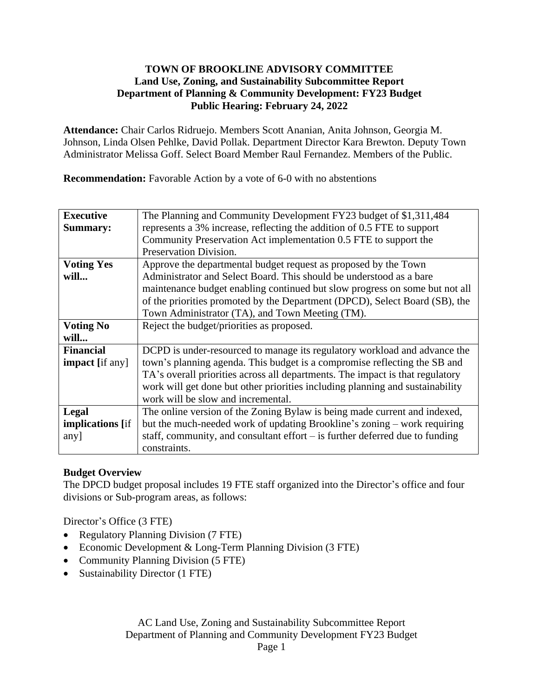## **TOWN OF BROOKLINE ADVISORY COMMITTEE Land Use, Zoning, and Sustainability Subcommittee Report Department of Planning & Community Development: FY23 Budget Public Hearing: February 24, 2022**

**Attendance:** Chair Carlos Ridruejo. Members Scott Ananian, Anita Johnson, Georgia M. Johnson, Linda Olsen Pehlke, David Pollak. Department Director Kara Brewton. Deputy Town Administrator Melissa Goff. Select Board Member Raul Fernandez. Members of the Public.

**Recommendation:** Favorable Action by a vote of 6-0 with no abstentions

| <b>Executive</b>        | The Planning and Community Development FY23 budget of \$1,311,484              |
|-------------------------|--------------------------------------------------------------------------------|
|                         |                                                                                |
| <b>Summary:</b>         | represents a 3% increase, reflecting the addition of 0.5 FTE to support        |
|                         | Community Preservation Act implementation 0.5 FTE to support the               |
|                         | Preservation Division.                                                         |
| <b>Voting Yes</b>       | Approve the departmental budget request as proposed by the Town                |
| will                    | Administrator and Select Board. This should be understood as a bare            |
|                         | maintenance budget enabling continued but slow progress on some but not all    |
|                         | of the priorities promoted by the Department (DPCD), Select Board (SB), the    |
|                         | Town Administrator (TA), and Town Meeting (TM).                                |
| <b>Voting No</b>        | Reject the budget/priorities as proposed.                                      |
| will                    |                                                                                |
| <b>Financial</b>        | DCPD is under-resourced to manage its regulatory workload and advance the      |
| <b>impact</b> [if any]  | town's planning agenda. This budget is a compromise reflecting the SB and      |
|                         | TA's overall priorities across all departments. The impact is that regulatory  |
|                         | work will get done but other priorities including planning and sustainability  |
|                         | work will be slow and incremental.                                             |
| Legal                   | The online version of the Zoning Bylaw is being made current and indexed,      |
| <b>implications</b> [if | but the much-needed work of updating Brookline's zoning – work requiring       |
| any]                    | staff, community, and consultant effort $-$ is further deferred due to funding |
|                         | constraints.                                                                   |

## **Budget Overview**

The DPCD budget proposal includes 19 FTE staff organized into the Director's office and four divisions or Sub-program areas, as follows:

Director's Office (3 FTE)

- Regulatory Planning Division (7 FTE)
- Economic Development & Long-Term Planning Division (3 FTE)
- Community Planning Division (5 FTE)
- Sustainability Director (1 FTE)

AC Land Use, Zoning and Sustainability Subcommittee Report Department of Planning and Community Development FY23 Budget Page 1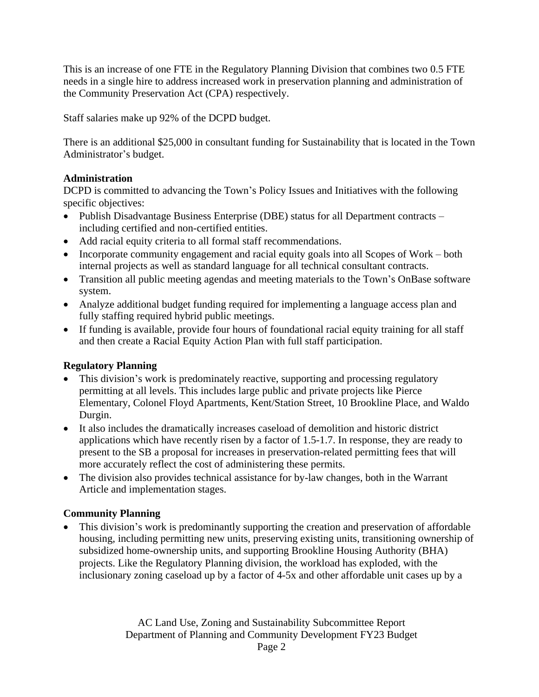This is an increase of one FTE in the Regulatory Planning Division that combines two 0.5 FTE needs in a single hire to address increased work in preservation planning and administration of the Community Preservation Act (CPA) respectively.

Staff salaries make up 92% of the DCPD budget.

There is an additional \$25,000 in consultant funding for Sustainability that is located in the Town Administrator's budget.

# **Administration**

DCPD is committed to advancing the Town's Policy Issues and Initiatives with the following specific objectives:

- Publish Disadvantage Business Enterprise (DBE) status for all Department contracts including certified and non-certified entities.
- Add racial equity criteria to all formal staff recommendations.
- Incorporate community engagement and racial equity goals into all Scopes of Work both internal projects as well as standard language for all technical consultant contracts.
- Transition all public meeting agendas and meeting materials to the Town's OnBase software system.
- Analyze additional budget funding required for implementing a language access plan and fully staffing required hybrid public meetings.
- If funding is available, provide four hours of foundational racial equity training for all staff and then create a Racial Equity Action Plan with full staff participation.

# **Regulatory Planning**

- This division's work is predominately reactive, supporting and processing regulatory permitting at all levels. This includes large public and private projects like Pierce Elementary, Colonel Floyd Apartments, Kent/Station Street, 10 Brookline Place, and Waldo Durgin.
- It also includes the dramatically increases caseload of demolition and historic district applications which have recently risen by a factor of 1.5-1.7. In response, they are ready to present to the SB a proposal for increases in preservation-related permitting fees that will more accurately reflect the cost of administering these permits.
- The division also provides technical assistance for by-law changes, both in the Warrant Article and implementation stages.

# **Community Planning**

 This division's work is predominantly supporting the creation and preservation of affordable housing, including permitting new units, preserving existing units, transitioning ownership of subsidized home-ownership units, and supporting Brookline Housing Authority (BHA) projects. Like the Regulatory Planning division, the workload has exploded, with the inclusionary zoning caseload up by a factor of 4-5x and other affordable unit cases up by a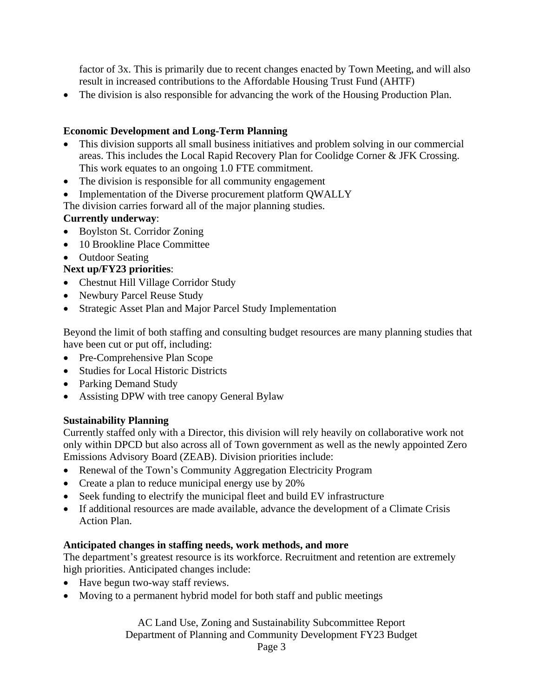factor of 3x. This is primarily due to recent changes enacted by Town Meeting, and will also result in increased contributions to the Affordable Housing Trust Fund (AHTF)

• The division is also responsible for advancing the work of the Housing Production Plan.

## **Economic Development and Long-Term Planning**

- This division supports all small business initiatives and problem solving in our commercial areas. This includes the Local Rapid Recovery Plan for Coolidge Corner & JFK Crossing. This work equates to an ongoing 1.0 FTE commitment.
- The division is responsible for all community engagement
- Implementation of the Diverse procurement platform QWALLY

The division carries forward all of the major planning studies.

### **Currently underway**:

- Boylston St. Corridor Zoning
- 10 Brookline Place Committee
- Outdoor Seating

## **Next up/FY23 priorities**:

- Chestnut Hill Village Corridor Study
- Newbury Parcel Reuse Study
- Strategic Asset Plan and Major Parcel Study Implementation

Beyond the limit of both staffing and consulting budget resources are many planning studies that have been cut or put off, including:

- Pre-Comprehensive Plan Scope
- Studies for Local Historic Districts
- Parking Demand Study
- Assisting DPW with tree canopy General Bylaw

### **Sustainability Planning**

Currently staffed only with a Director, this division will rely heavily on collaborative work not only within DPCD but also across all of Town government as well as the newly appointed Zero Emissions Advisory Board (ZEAB). Division priorities include:

- Renewal of the Town's Community Aggregation Electricity Program
- Create a plan to reduce municipal energy use by 20%
- Seek funding to electrify the municipal fleet and build EV infrastructure
- If additional resources are made available, advance the development of a Climate Crisis Action Plan.

### **Anticipated changes in staffing needs, work methods, and more**

The department's greatest resource is its workforce. Recruitment and retention are extremely high priorities. Anticipated changes include:

- Have begun two-way staff reviews.
- Moving to a permanent hybrid model for both staff and public meetings

AC Land Use, Zoning and Sustainability Subcommittee Report Department of Planning and Community Development FY23 Budget

Page 3